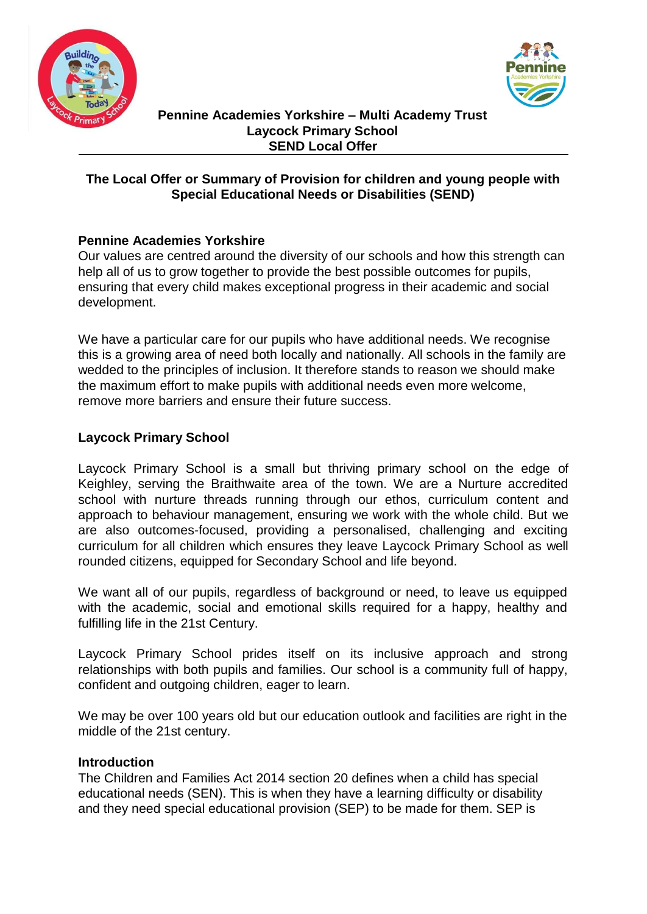



#### **Pennine Academies Yorkshire – Multi Academy Trust Laycock Primary School SEND Local Offer**

## **The Local Offer or Summary of Provision for children and young people with Special Educational Needs or Disabilities (SEND)**

## **Pennine Academies Yorkshire**

Our values are centred around the diversity of our schools and how this strength can help all of us to grow together to provide the best possible outcomes for pupils, ensuring that every child makes exceptional progress in their academic and social development.

We have a particular care for our pupils who have additional needs. We recognise this is a growing area of need both locally and nationally. All schools in the family are wedded to the principles of inclusion. It therefore stands to reason we should make the maximum effort to make pupils with additional needs even more welcome, remove more barriers and ensure their future success.

## **Laycock Primary School**

Laycock Primary School is a small but thriving primary school on the edge of Keighley, serving the Braithwaite area of the town. We are a Nurture accredited school with nurture threads running through our ethos, curriculum content and approach to behaviour management, ensuring we work with the whole child. But we are also outcomes-focused, providing a personalised, challenging and exciting curriculum for all children which ensures they leave Laycock Primary School as well rounded citizens, equipped for Secondary School and life beyond.

We want all of our pupils, regardless of background or need, to leave us equipped with the academic, social and emotional skills required for a happy, healthy and fulfilling life in the 21st Century.

Laycock Primary School prides itself on its inclusive approach and strong relationships with both pupils and families. Our school is a community full of happy, confident and outgoing children, eager to learn.

We may be over 100 years old but our education outlook and facilities are right in the middle of the 21st century.

#### **Introduction**

The Children and Families Act 2014 section 20 defines when a child has special educational needs (SEN). This is when they have a learning difficulty or disability and they need special educational provision (SEP) to be made for them. SEP is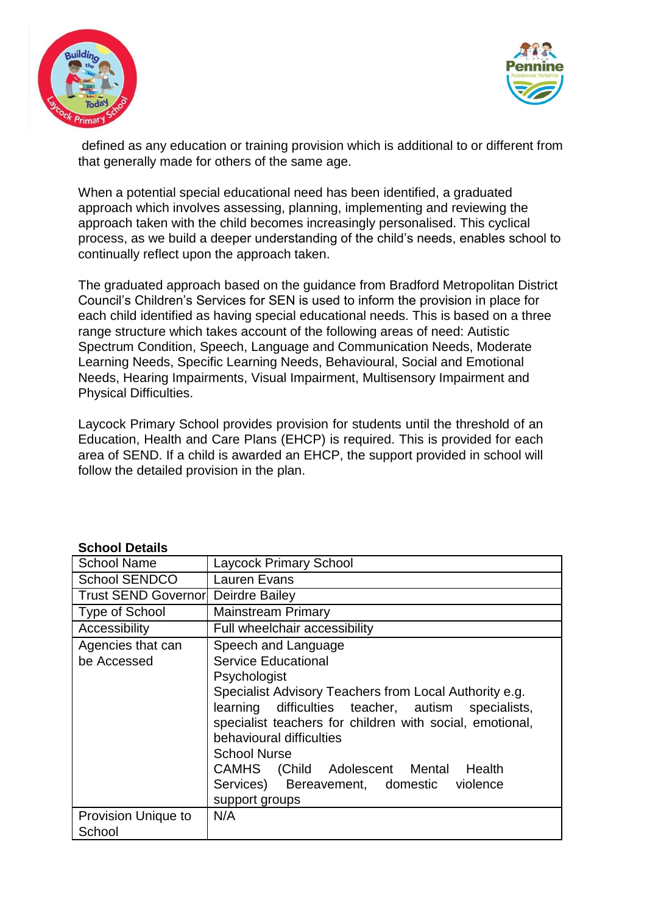



defined as any education or training provision which is additional to or different from that generally made for others of the same age.

When a potential special educational need has been identified, a graduated approach which involves assessing, planning, implementing and reviewing the approach taken with the child becomes increasingly personalised. This cyclical process, as we build a deeper understanding of the child's needs, enables school to continually reflect upon the approach taken.

The graduated approach based on the guidance from Bradford Metropolitan District Council's Children's Services for SEN is used to inform the provision in place for each child identified as having special educational needs. This is based on a three range structure which takes account of the following areas of need: Autistic Spectrum Condition, Speech, Language and Communication Needs, Moderate Learning Needs, Specific Learning Needs, Behavioural, Social and Emotional Needs, Hearing Impairments, Visual Impairment, Multisensory Impairment and Physical Difficulties.

Laycock Primary School provides provision for students until the threshold of an Education, Health and Care Plans (EHCP) is required. This is provided for each area of SEND. If a child is awarded an EHCP, the support provided in school will follow the detailed provision in the plan.

| ocnoci petans                    |                                                                                                                                                                                                                                                                                                                                                                                                         |
|----------------------------------|---------------------------------------------------------------------------------------------------------------------------------------------------------------------------------------------------------------------------------------------------------------------------------------------------------------------------------------------------------------------------------------------------------|
| <b>School Name</b>               | <b>Laycock Primary School</b>                                                                                                                                                                                                                                                                                                                                                                           |
| <b>School SENDCO</b>             | Lauren Evans                                                                                                                                                                                                                                                                                                                                                                                            |
| <b>Trust SEND Governorl</b>      | Deirdre Bailey                                                                                                                                                                                                                                                                                                                                                                                          |
| Type of School                   | <b>Mainstream Primary</b>                                                                                                                                                                                                                                                                                                                                                                               |
| Accessibility                    | Full wheelchair accessibility                                                                                                                                                                                                                                                                                                                                                                           |
| Agencies that can<br>be Accessed | Speech and Language<br><b>Service Educational</b><br>Psychologist<br>Specialist Advisory Teachers from Local Authority e.g.<br>learning difficulties teacher, autism specialists,<br>specialist teachers for children with social, emotional,<br>behavioural difficulties<br><b>School Nurse</b><br>CAMHS (Child Adolescent Mental Health<br>Services) Bereavement, domestic violence<br>support groups |
| <b>Provision Unique to</b>       | N/A                                                                                                                                                                                                                                                                                                                                                                                                     |
| School                           |                                                                                                                                                                                                                                                                                                                                                                                                         |

#### **School Details**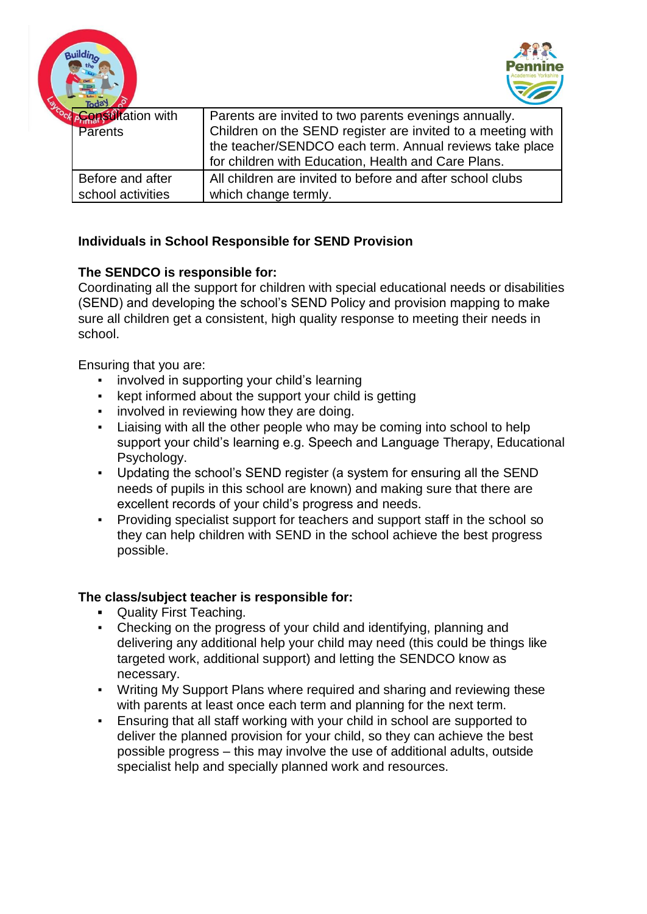onsultation with **Parents** Parents are invited to two parents evenings annually. Children on the SEND register are invited to a meeting with the teacher/SENDCO each term. Annual reviews take place for children with Education, Health and Care Plans. Before and after school activities All children are invited to before and after school clubs which change termly.

# **Individuals in School Responsible for SEND Provision**

## **The SENDCO is responsible for:**

Coordinating all the support for children with special educational needs or disabilities (SEND) and developing the school's SEND Policy and provision mapping to make sure all children get a consistent, high quality response to meeting their needs in school.

Ensuring that you are:

uilding

- involved in supporting your child's learning
- kept informed about the support your child is getting
- **•** involved in reviewing how they are doing.
- Liaising with all the other people who may be coming into school to help support your child's learning e.g. Speech and Language Therapy, Educational Psychology.
- Updating the school's SEND register (a system for ensuring all the SEND needs of pupils in this school are known) and making sure that there are excellent records of your child's progress and needs.
- Providing specialist support for teachers and support staff in the school so they can help children with SEND in the school achieve the best progress possible.

#### **The class/subject teacher is responsible for:**

- **▪** Quality First Teaching.
- Checking on the progress of your child and identifying, planning and delivering any additional help your child may need (this could be things like targeted work, additional support) and letting the SENDCO know as necessary.
- Writing My Support Plans where required and sharing and reviewing these with parents at least once each term and planning for the next term.
- Ensuring that all staff working with your child in school are supported to deliver the planned provision for your child, so they can achieve the best possible progress – this may involve the use of additional adults, outside specialist help and specially planned work and resources.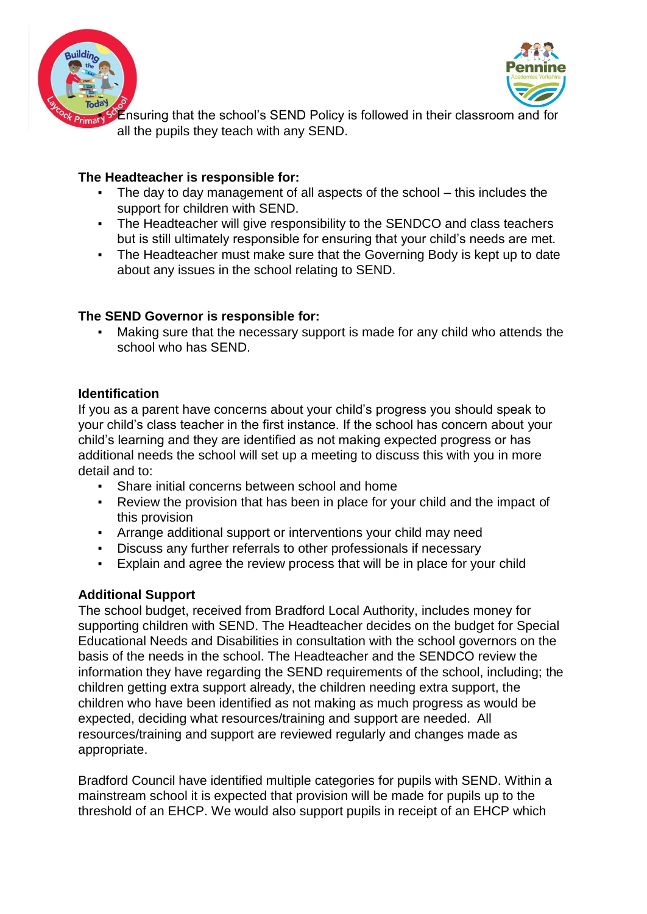



Ensuring that the school's SEND Policy is followed in their classroom and for all the pupils they teach with any SEND.

## **The Headteacher is responsible for:**

- The day to day management of all aspects of the school  $-$  this includes the support for children with SEND.
- **The Headteacher will give responsibility to the SENDCO and class teachers** but is still ultimately responsible for ensuring that your child's needs are met.
- The Headteacher must make sure that the Governing Body is kept up to date about any issues in the school relating to SEND.

### **The SEND Governor is responsible for:**

Making sure that the necessary support is made for any child who attends the school who has SEND.

### **Identification**

If you as a parent have concerns about your child's progress you should speak to your child's class teacher in the first instance. If the school has concern about your child's learning and they are identified as not making expected progress or has additional needs the school will set up a meeting to discuss this with you in more detail and to:

- Share initial concerns between school and home
- Review the provision that has been in place for your child and the impact of this provision
- Arrange additional support or interventions your child may need
- Discuss any further referrals to other professionals if necessary
- Explain and agree the review process that will be in place for your child

#### **Additional Support**

The school budget, received from Bradford Local Authority, includes money for supporting children with SEND. The Headteacher decides on the budget for Special Educational Needs and Disabilities in consultation with the school governors on the basis of the needs in the school. The Headteacher and the SENDCO review the information they have regarding the SEND requirements of the school, including; the children getting extra support already, the children needing extra support, the children who have been identified as not making as much progress as would be expected, deciding what resources/training and support are needed. All resources/training and support are reviewed regularly and changes made as appropriate.

Bradford Council have identified multiple categories for pupils with SEND. Within a mainstream school it is expected that provision will be made for pupils up to the threshold of an EHCP. We would also support pupils in receipt of an EHCP which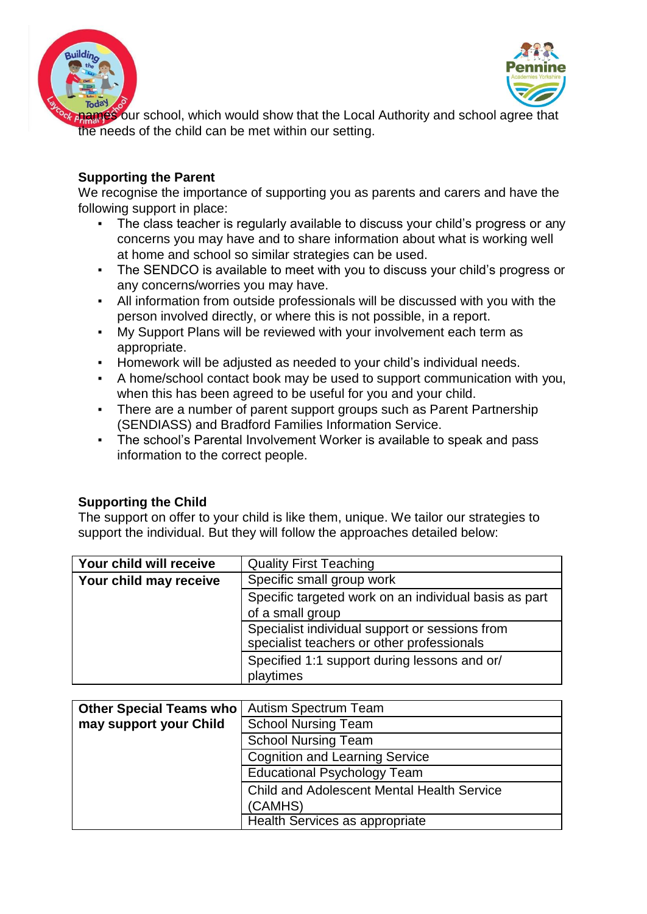



four school, which would show that the Local Authority and school agree that the needs of the child can be met within our setting.

## **Supporting the Parent**

We recognise the importance of supporting you as parents and carers and have the following support in place:

- The class teacher is regularly available to discuss your child's progress or any concerns you may have and to share information about what is working well at home and school so similar strategies can be used.
- The SENDCO is available to meet with you to discuss your child's progress or any concerns/worries you may have.
- All information from outside professionals will be discussed with you with the person involved directly, or where this is not possible, in a report.
- My Support Plans will be reviewed with your involvement each term as appropriate.
- Homework will be adjusted as needed to your child's individual needs.
- A home/school contact book may be used to support communication with you, when this has been agreed to be useful for you and your child.
- There are a number of parent support groups such as Parent Partnership (SENDIASS) and Bradford Families Information Service.
- The school's Parental Involvement Worker is available to speak and pass information to the correct people.

# **Supporting the Child**

The support on offer to your child is like them, unique. We tailor our strategies to support the individual. But they will follow the approaches detailed below:

| Your child will receive | <b>Quality First Teaching</b>                                                                |
|-------------------------|----------------------------------------------------------------------------------------------|
| Your child may receive  | Specific small group work                                                                    |
|                         | Specific targeted work on an individual basis as part                                        |
|                         | of a small group                                                                             |
|                         | Specialist individual support or sessions from<br>specialist teachers or other professionals |
|                         | Specified 1:1 support during lessons and or/<br>playtimes                                    |

| <b>Other Special Teams who</b> | <b>Autism Spectrum Team</b>                       |
|--------------------------------|---------------------------------------------------|
| may support your Child         | <b>School Nursing Team</b>                        |
|                                | <b>School Nursing Team</b>                        |
|                                | Cognition and Learning Service                    |
|                                | <b>Educational Psychology Team</b>                |
|                                | <b>Child and Adolescent Mental Health Service</b> |
|                                | (CAMHS)                                           |
|                                | Health Services as appropriate                    |